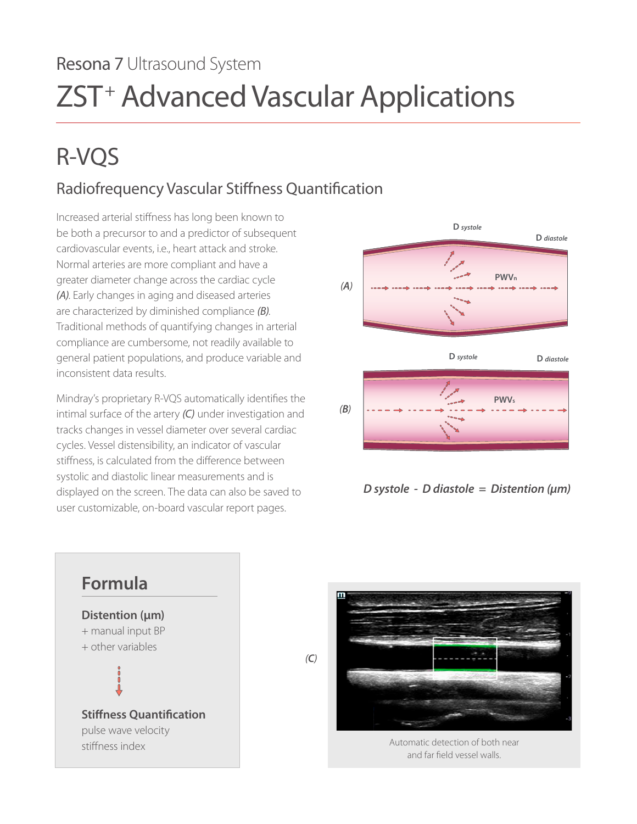# Resona 7 Ultrasound System ZST+ Advanced Vascular Applications

# R-VQS

## Radiofrequency Vascular Stiffness Quantification

compliance are cumbersome, not readily available to Increased arterial stiffness has long been known to be both a precursor to and a predictor of subsequent cardiovascular events, i.e., heart attack and stroke. Normal arteries are more compliant and have a greater diameter change across the cardiac cycle *(A)*. Early changes in aging and diseased arteries are characterized by diminished compliance *(B)*. Traditional methods of quantifying changes in arterial general patient populations, and produce variable and inconsistent data results.

**PWVs PWVs PWVs** intimal surface of the artery *(C)* under investigation and tracks changes in vessel diameter over several cardiac cycles. Vessel distensibility, an indicator of vascular stiffness, is calculated from the difference between systolic and diastolic linear measurements and is displayed on the screen. The data can also be saved to user customizable, on-board vascular report pages.









Automatic detection of both near and far field vessel walls.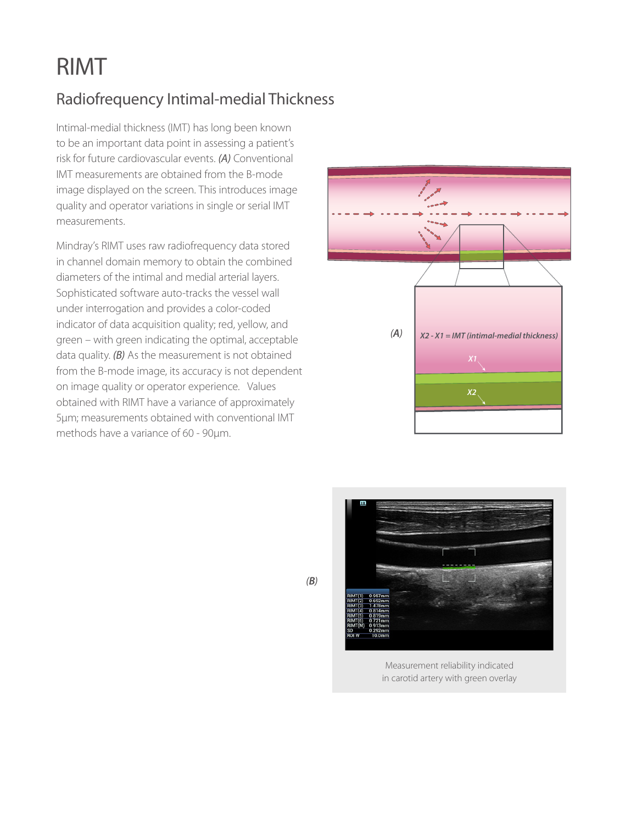## RIMT

## Radiofrequency Intimal-medial Thickness

Intimal-medial thickness (IMT) has long been known to be an important data point in assessing a patient's risk for future cardiovascular events. *(A)* Conventional IMT measurements are obtained from the B-mode image displayed on the screen. This introduces image quality and operator variations in single or serial IMT measurements.

Mindray's RIMT uses raw radiofrequency data stored in channel domain memory to obtain the combined diameters of the intimal and medial arterial layers. Sophisticated software auto-tracks the vessel wall under interrogation and provides a color-coded indicator of data acquisition quality; red, yellow, and green – with green indicating the optimal, acceptable data quality. *(B)* As the measurement is not obtained from the B-mode image, its accuracy is not dependent on image quality or operator experience. Values obtained with RIMT have a variance of approximately 5μm; measurements obtained with conventional IMT methods have a variance of 60 - 90μm.





Measurement reliability indicated in carotid artery with green overlay

*(B)*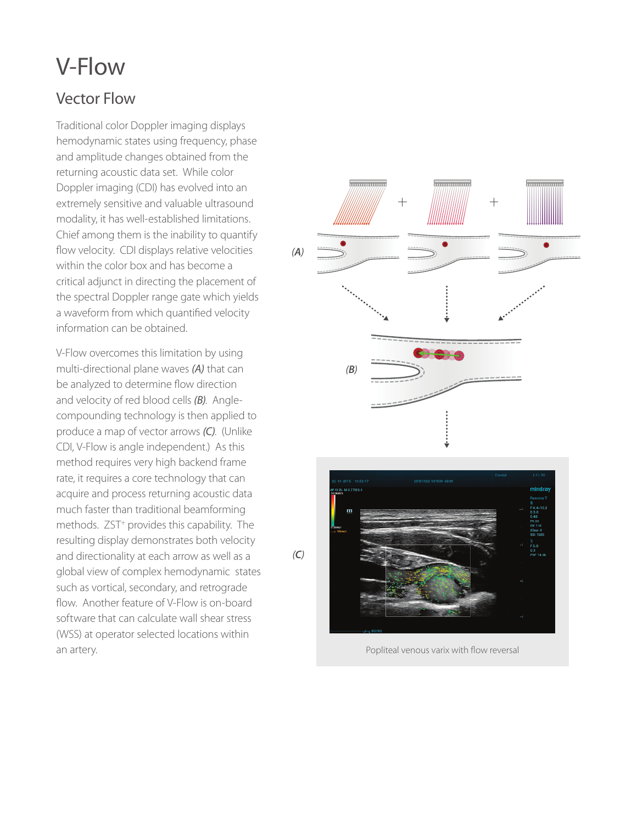## V-Flow

#### Vector Flow

Traditional color Doppler imaging displays hemodynamic states using frequency, phase and amplitude changes obtained from the returning acoustic data set. While color Doppler imaging (CDI) has evolved into an extremely sensitive and valuable ultrasound modality, it has well-established limitations. Chief among them is the inability to quantify flow velocity. CDI displays relative velocities within the color box and has become a critical adjunct in directing the placement of the spectral Doppler range gate which yields a waveform from which quantified velocity information can be obtained.

V-Flow overcomes this limitation by using multi-directional plane waves *(A)* that can be analyzed to determine flow direction and velocity of red blood cells *(B)*. Anglecompounding technology is then applied to produce a map of vector arrows *(C)*. (Unlike CDI, V-Flow is angle independent.) As this method requires very high backend frame rate, it requires a core technology that can acquire and process returning acoustic data much faster than traditional beamforming methods. ZST<sup>+</sup> provides this capability. The resulting display demonstrates both velocity and directionality at each arrow as well as a global view of complex hemodynamic states such as vortical, secondary, and retrograde flow. Another feature of V-Flow is on-board software that can calculate wall shear stress (WSS) at operator selected locations within an artery.



Popliteal venous varix with flow reversal